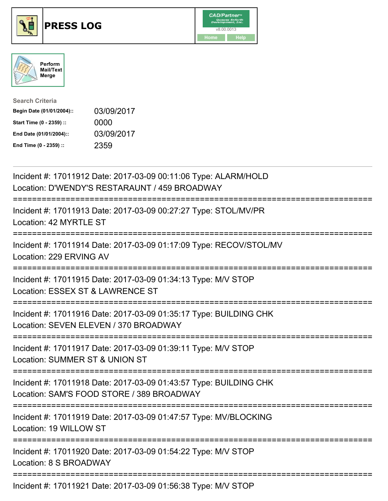





| <b>Search Criteria</b>    |            |
|---------------------------|------------|
| Begin Date (01/01/2004):: | 03/09/2017 |
| Start Time (0 - 2359) ::  | 0000       |
| End Date (01/01/2004)::   | 03/09/2017 |
| End Time (0 - 2359) ::    | 2359       |

| Incident #: 17011912 Date: 2017-03-09 00:11:06 Type: ALARM/HOLD<br>Location: D'WENDY'S RESTARAUNT / 459 BROADWAY                                      |
|-------------------------------------------------------------------------------------------------------------------------------------------------------|
| Incident #: 17011913 Date: 2017-03-09 00:27:27 Type: STOL/MV/PR<br>Location: 42 MYRTLE ST                                                             |
| Incident #: 17011914 Date: 2017-03-09 01:17:09 Type: RECOV/STOL/MV<br>Location: 229 ERVING AV                                                         |
| Incident #: 17011915 Date: 2017-03-09 01:34:13 Type: M/V STOP<br>Location: ESSEX ST & LAWRENCE ST                                                     |
| Incident #: 17011916 Date: 2017-03-09 01:35:17 Type: BUILDING CHK<br>Location: SEVEN ELEVEN / 370 BROADWAY                                            |
| Incident #: 17011917 Date: 2017-03-09 01:39:11 Type: M/V STOP<br>Location: SUMMER ST & UNION ST<br>===============                                    |
| Incident #: 17011918 Date: 2017-03-09 01:43:57 Type: BUILDING CHK<br>Location: SAM'S FOOD STORE / 389 BROADWAY<br>=================================== |
| Incident #: 17011919 Date: 2017-03-09 01:47:57 Type: MV/BLOCKING<br>Location: 19 WILLOW ST                                                            |
| Incident #: 17011920 Date: 2017-03-09 01:54:22 Type: M/V STOP<br>Location: 8 S BROADWAY                                                               |
| Incident #: 17011921 Date: 2017-03-09 01:56:38 Type: M/V STOP                                                                                         |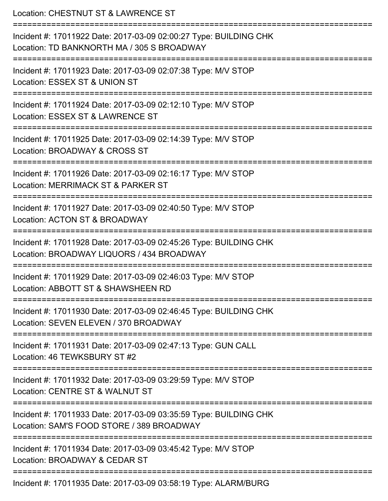Location: CHESTNUT ST & LAWRENCE ST =========================================================================== Incident #: 17011922 Date: 2017-03-09 02:00:27 Type: BUILDING CHK Location: TD BANKNORTH MA / 305 S BROADWAY =========================================================================== Incident #: 17011923 Date: 2017-03-09 02:07:38 Type: M/V STOP Location: ESSEX ST & UNION ST =========================================================================== Incident #: 17011924 Date: 2017-03-09 02:12:10 Type: M/V STOP Location: ESSEX ST & LAWRENCE ST =========================================================================== Incident #: 17011925 Date: 2017-03-09 02:14:39 Type: M/V STOP Location: BROADWAY & CROSS ST =========================================================================== Incident #: 17011926 Date: 2017-03-09 02:16:17 Type: M/V STOP Location: MERRIMACK ST & PARKER ST =========================================================================== Incident #: 17011927 Date: 2017-03-09 02:40:50 Type: M/V STOP Location: ACTON ST & BROADWAY =========================================================================== Incident #: 17011928 Date: 2017-03-09 02:45:26 Type: BUILDING CHK Location: BROADWAY LIQUORS / 434 BROADWAY =========================================================================== Incident #: 17011929 Date: 2017-03-09 02:46:03 Type: M/V STOP Location: ABBOTT ST & SHAWSHEEN RD =========================================================================== Incident #: 17011930 Date: 2017-03-09 02:46:45 Type: BUILDING CHK Location: SEVEN ELEVEN / 370 BROADWAY =========================================================================== Incident #: 17011931 Date: 2017-03-09 02:47:13 Type: GUN CALL Location: 46 TEWKSBURY ST #2 =========================================================================== Incident #: 17011932 Date: 2017-03-09 03:29:59 Type: M/V STOP Location: CENTRE ST & WALNUT ST =========================================================================== Incident #: 17011933 Date: 2017-03-09 03:35:59 Type: BUILDING CHK Location: SAM'S FOOD STORE / 389 BROADWAY =========================================================================== Incident #: 17011934 Date: 2017-03-09 03:45:42 Type: M/V STOP Location: BROADWAY & CEDAR ST =========================================================================== Incident #: 17011935 Date: 2017-03-09 03:58:19 Type: ALARM/BURG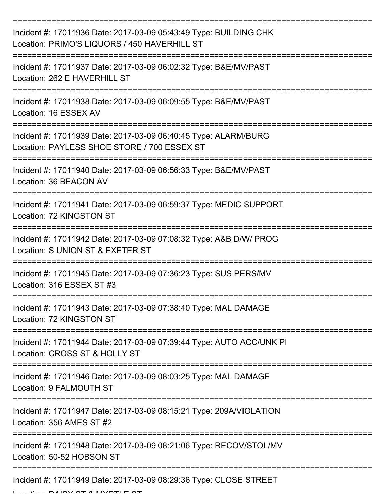| Incident #: 17011936 Date: 2017-03-09 05:43:49 Type: BUILDING CHK<br>Location: PRIMO'S LIQUORS / 450 HAVERHILL ST            |
|------------------------------------------------------------------------------------------------------------------------------|
| Incident #: 17011937 Date: 2017-03-09 06:02:32 Type: B&E/MV/PAST<br>Location: 262 E HAVERHILL ST                             |
| Incident #: 17011938 Date: 2017-03-09 06:09:55 Type: B&E/MV/PAST<br>Location: 16 ESSEX AV                                    |
| Incident #: 17011939 Date: 2017-03-09 06:40:45 Type: ALARM/BURG<br>Location: PAYLESS SHOE STORE / 700 ESSEX ST               |
| Incident #: 17011940 Date: 2017-03-09 06:56:33 Type: B&E/MV/PAST<br>Location: 36 BEACON AV<br>------------------------------ |
| Incident #: 17011941 Date: 2017-03-09 06:59:37 Type: MEDIC SUPPORT<br>Location: 72 KINGSTON ST                               |
| Incident #: 17011942 Date: 2017-03-09 07:08:32 Type: A&B D/W/ PROG<br>Location: S UNION ST & EXETER ST                       |
| Incident #: 17011945 Date: 2017-03-09 07:36:23 Type: SUS PERS/MV<br>Location: 316 ESSEX ST #3                                |
| Incident #: 17011943 Date: 2017-03-09 07:38:40 Type: MAL DAMAGE<br>Location: 72 KINGSTON ST                                  |
| Incident #: 17011944 Date: 2017-03-09 07:39:44 Type: AUTO ACC/UNK PI<br>Location: CROSS ST & HOLLY ST                        |
| Incident #: 17011946 Date: 2017-03-09 08:03:25 Type: MAL DAMAGE<br>Location: 9 FALMOUTH ST                                   |
| Incident #: 17011947 Date: 2017-03-09 08:15:21 Type: 209A/VIOLATION<br>Location: 356 AMES ST #2                              |
| Incident #: 17011948 Date: 2017-03-09 08:21:06 Type: RECOV/STOL/MV<br>Location: 50-52 HOBSON ST                              |
| Incident #: 17011949 Date: 2017-03-09 08:29:36 Type: CLOSE STREET                                                            |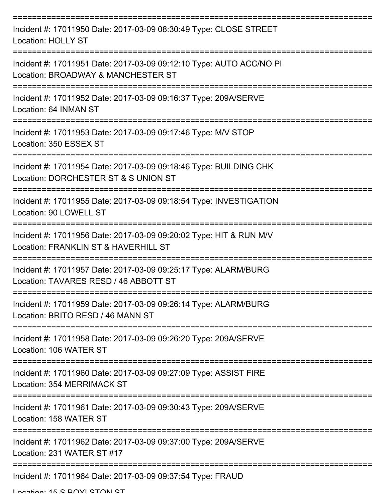| Incident #: 17011950 Date: 2017-03-09 08:30:49 Type: CLOSE STREET<br><b>Location: HOLLY ST</b>                               |
|------------------------------------------------------------------------------------------------------------------------------|
| Incident #: 17011951 Date: 2017-03-09 09:12:10 Type: AUTO ACC/NO PI<br>Location: BROADWAY & MANCHESTER ST                    |
| Incident #: 17011952 Date: 2017-03-09 09:16:37 Type: 209A/SERVE<br>Location: 64 INMAN ST                                     |
| Incident #: 17011953 Date: 2017-03-09 09:17:46 Type: M/V STOP<br>Location: 350 ESSEX ST                                      |
| Incident #: 17011954 Date: 2017-03-09 09:18:46 Type: BUILDING CHK<br>Location: DORCHESTER ST & S UNION ST<br>=============== |
| Incident #: 17011955 Date: 2017-03-09 09:18:54 Type: INVESTIGATION<br>Location: 90 LOWELL ST                                 |
| Incident #: 17011956 Date: 2017-03-09 09:20:02 Type: HIT & RUN M/V<br>Location: FRANKLIN ST & HAVERHILL ST                   |
| Incident #: 17011957 Date: 2017-03-09 09:25:17 Type: ALARM/BURG<br>Location: TAVARES RESD / 46 ABBOTT ST                     |
| Incident #: 17011959 Date: 2017-03-09 09:26:14 Type: ALARM/BURG<br>Location: BRITO RESD / 46 MANN ST                         |
| Incident #: 17011958 Date: 2017-03-09 09:26:20 Type: 209A/SERVE<br>Location: 106 WATER ST                                    |
| Incident #: 17011960 Date: 2017-03-09 09:27:09 Type: ASSIST FIRE<br>Location: 354 MERRIMACK ST                               |
| Incident #: 17011961 Date: 2017-03-09 09:30:43 Type: 209A/SERVE<br>Location: 158 WATER ST                                    |
| Incident #: 17011962 Date: 2017-03-09 09:37:00 Type: 209A/SERVE<br>Location: 231 WATER ST #17                                |
| Incident #: 17011964 Date: 2017-03-09 09:37:54 Type: FRAUD                                                                   |

Location: 15 C BOVI CTON CT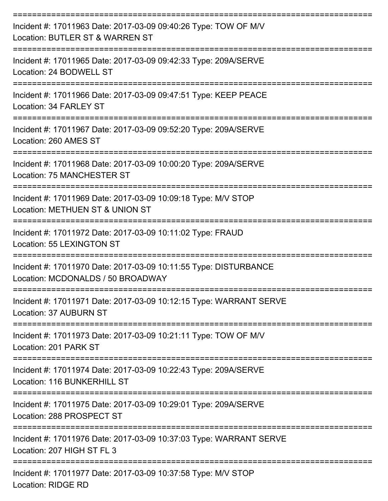| Incident #: 17011963 Date: 2017-03-09 09:40:26 Type: TOW OF M/V<br>Location: BUTLER ST & WARREN ST    |
|-------------------------------------------------------------------------------------------------------|
| Incident #: 17011965 Date: 2017-03-09 09:42:33 Type: 209A/SERVE<br>Location: 24 BODWELL ST            |
| Incident #: 17011966 Date: 2017-03-09 09:47:51 Type: KEEP PEACE<br>Location: 34 FARLEY ST             |
| Incident #: 17011967 Date: 2017-03-09 09:52:20 Type: 209A/SERVE<br>Location: 260 AMES ST              |
| Incident #: 17011968 Date: 2017-03-09 10:00:20 Type: 209A/SERVE<br><b>Location: 75 MANCHESTER ST</b>  |
| Incident #: 17011969 Date: 2017-03-09 10:09:18 Type: M/V STOP<br>Location: METHUEN ST & UNION ST      |
| Incident #: 17011972 Date: 2017-03-09 10:11:02 Type: FRAUD<br>Location: 55 LEXINGTON ST               |
| Incident #: 17011970 Date: 2017-03-09 10:11:55 Type: DISTURBANCE<br>Location: MCDONALDS / 50 BROADWAY |
| Incident #: 17011971 Date: 2017-03-09 10:12:15 Type: WARRANT SERVE<br>Location: 37 AUBURN ST          |
| Incident #: 17011973 Date: 2017-03-09 10:21:11 Type: TOW OF M/V<br>Location: 201 PARK ST              |
| Incident #: 17011974 Date: 2017-03-09 10:22:43 Type: 209A/SERVE<br>Location: 116 BUNKERHILL ST        |
| Incident #: 17011975 Date: 2017-03-09 10:29:01 Type: 209A/SERVE<br>Location: 288 PROSPECT ST          |
| Incident #: 17011976 Date: 2017-03-09 10:37:03 Type: WARRANT SERVE<br>Location: 207 HIGH ST FL 3      |
| Incident #: 17011977 Date: 2017-03-09 10:37:58 Type: M/V STOP<br><b>Location: RIDGE RD</b>            |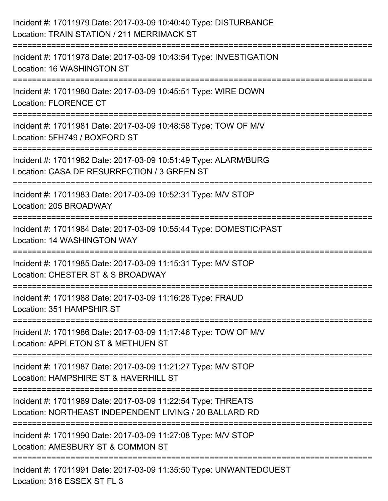| Incident #: 17011979 Date: 2017-03-09 10:40:40 Type: DISTURBANCE<br>Location: TRAIN STATION / 211 MERRIMACK ST                                                |
|---------------------------------------------------------------------------------------------------------------------------------------------------------------|
| ===================================<br>Incident #: 17011978 Date: 2017-03-09 10:43:54 Type: INVESTIGATION<br>Location: 16 WASHINGTON ST                       |
| Incident #: 17011980 Date: 2017-03-09 10:45:51 Type: WIRE DOWN<br><b>Location: FLORENCE CT</b>                                                                |
| ===============================<br>Incident #: 17011981 Date: 2017-03-09 10:48:58 Type: TOW OF M/V<br>Location: 5FH749 / BOXFORD ST<br>.===================== |
| Incident #: 17011982 Date: 2017-03-09 10:51:49 Type: ALARM/BURG<br>Location: CASA DE RESURRECTION / 3 GREEN ST                                                |
| Incident #: 17011983 Date: 2017-03-09 10:52:31 Type: M/V STOP<br>Location: 205 BROADWAY                                                                       |
| Incident #: 17011984 Date: 2017-03-09 10:55:44 Type: DOMESTIC/PAST<br>Location: 14 WASHINGTON WAY                                                             |
| Incident #: 17011985 Date: 2017-03-09 11:15:31 Type: M/V STOP<br>Location: CHESTER ST & S BROADWAY                                                            |
| Incident #: 17011988 Date: 2017-03-09 11:16:28 Type: FRAUD<br>Location: 351 HAMPSHIR ST                                                                       |
| Incident #: 17011986 Date: 2017-03-09 11:17:46 Type: TOW OF M/V<br>Location: APPLETON ST & METHUEN ST                                                         |
| Incident #: 17011987 Date: 2017-03-09 11:21:27 Type: M/V STOP<br>Location: HAMPSHIRE ST & HAVERHILL ST                                                        |
| Incident #: 17011989 Date: 2017-03-09 11:22:54 Type: THREATS<br>Location: NORTHEAST INDEPENDENT LIVING / 20 BALLARD RD                                        |
| Incident #: 17011990 Date: 2017-03-09 11:27:08 Type: M/V STOP<br>Location: AMESBURY ST & COMMON ST                                                            |
| Incident #: 17011991 Date: 2017-03-09 11:35:50 Type: UNWANTEDGUEST<br>Location: 316 ESSEX ST FL 3                                                             |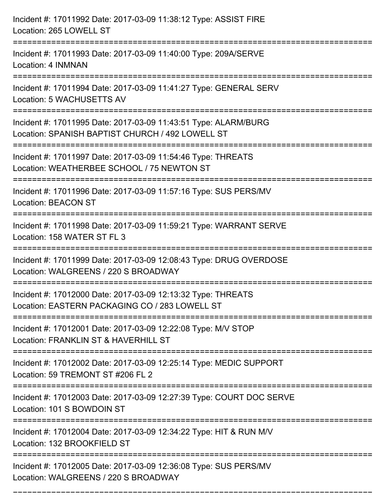| Incident #: 17011992 Date: 2017-03-09 11:38:12 Type: ASSIST FIRE<br>Location: 265 LOWELL ST                           |
|-----------------------------------------------------------------------------------------------------------------------|
| Incident #: 17011993 Date: 2017-03-09 11:40:00 Type: 209A/SERVE<br>Location: 4 INMNAN                                 |
| Incident #: 17011994 Date: 2017-03-09 11:41:27 Type: GENERAL SERV<br>Location: 5 WACHUSETTS AV                        |
| Incident #: 17011995 Date: 2017-03-09 11:43:51 Type: ALARM/BURG<br>Location: SPANISH BAPTIST CHURCH / 492 LOWELL ST   |
| Incident #: 17011997 Date: 2017-03-09 11:54:46 Type: THREATS<br>Location: WEATHERBEE SCHOOL / 75 NEWTON ST            |
| Incident #: 17011996 Date: 2017-03-09 11:57:16 Type: SUS PERS/MV<br><b>Location: BEACON ST</b>                        |
| Incident #: 17011998 Date: 2017-03-09 11:59:21 Type: WARRANT SERVE<br>Location: 158 WATER ST FL 3<br>================ |
| Incident #: 17011999 Date: 2017-03-09 12:08:43 Type: DRUG OVERDOSE<br>Location: WALGREENS / 220 S BROADWAY            |
| Incident #: 17012000 Date: 2017-03-09 12:13:32 Type: THREATS<br>Location: EASTERN PACKAGING CO / 283 LOWELL ST        |
| Incident #: 17012001 Date: 2017-03-09 12:22:08 Type: M/V STOP<br>Location: FRANKLIN ST & HAVERHILL ST                 |
| Incident #: 17012002 Date: 2017-03-09 12:25:14 Type: MEDIC SUPPORT<br>Location: 59 TREMONT ST #206 FL 2               |
| Incident #: 17012003 Date: 2017-03-09 12:27:39 Type: COURT DOC SERVE<br>Location: 101 S BOWDOIN ST                    |
| Incident #: 17012004 Date: 2017-03-09 12:34:22 Type: HIT & RUN M/V<br>Location: 132 BROOKFIELD ST                     |
| Incident #: 17012005 Date: 2017-03-09 12:36:08 Type: SUS PERS/MV<br>Location: WALGREENS / 220 S BROADWAY              |

===========================================================================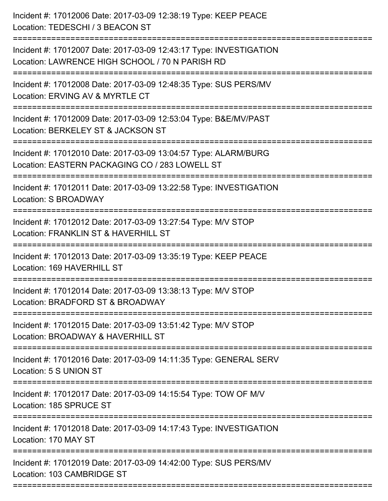Incident #: 17012006 Date: 2017-03-09 12:38:19 Type: KEEP PEACE Location: TEDESCHI / 3 BEACON ST =========================================================================== Incident #: 17012007 Date: 2017-03-09 12:43:17 Type: INVESTIGATION Location: LAWRENCE HIGH SCHOOL / 70 N PARISH RD =========================================================================== Incident #: 17012008 Date: 2017-03-09 12:48:35 Type: SUS PERS/MV Location: FRVING AV & MYRTLE CT =========================================================================== Incident #: 17012009 Date: 2017-03-09 12:53:04 Type: B&E/MV/PAST Location: BERKELEY ST & JACKSON ST =========================================================================== Incident #: 17012010 Date: 2017-03-09 13:04:57 Type: ALARM/BURG Location: EASTERN PACKAGING CO / 283 LOWELL ST =========================================================================== Incident #: 17012011 Date: 2017-03-09 13:22:58 Type: INVESTIGATION Location: S BROADWAY =========================================================================== Incident #: 17012012 Date: 2017-03-09 13:27:54 Type: M/V STOP Location: FRANKLIN ST & HAVERHILL ST =========================================================================== Incident #: 17012013 Date: 2017-03-09 13:35:19 Type: KEEP PEACE Location: 169 HAVERHILL ST =========================================================================== Incident #: 17012014 Date: 2017-03-09 13:38:13 Type: M/V STOP Location: BRADFORD ST & BROADWAY =========================================================================== Incident #: 17012015 Date: 2017-03-09 13:51:42 Type: M/V STOP Location: BROADWAY & HAVERHILL ST =========================================================================== Incident #: 17012016 Date: 2017-03-09 14:11:35 Type: GENERAL SERV Location: 5 S UNION ST =========================================================================== Incident #: 17012017 Date: 2017-03-09 14:15:54 Type: TOW OF M/V Location: 185 SPRUCE ST =========================================================================== Incident #: 17012018 Date: 2017-03-09 14:17:43 Type: INVESTIGATION Location: 170 MAY ST =========================================================================== Incident #: 17012019 Date: 2017-03-09 14:42:00 Type: SUS PERS/MV Location: 103 CAMBRIDGE ST ===========================================================================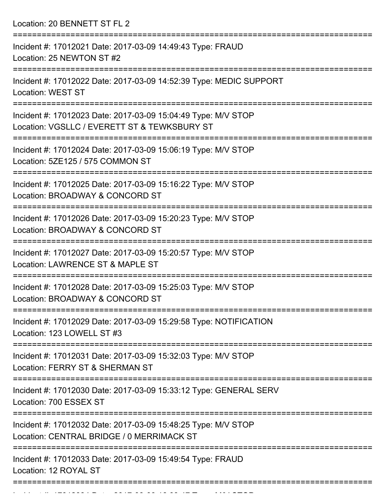Location: 20 BENNETT ST FL 2

| Incident #: 17012021 Date: 2017-03-09 14:49:43 Type: FRAUD<br>Location: 25 NEWTON ST #2                              |
|----------------------------------------------------------------------------------------------------------------------|
| Incident #: 17012022 Date: 2017-03-09 14:52:39 Type: MEDIC SUPPORT<br><b>Location: WEST ST</b>                       |
| Incident #: 17012023 Date: 2017-03-09 15:04:49 Type: M/V STOP<br>Location: VGSLLC / EVERETT ST & TEWKSBURY ST        |
| Incident #: 17012024 Date: 2017-03-09 15:06:19 Type: M/V STOP<br>Location: 5ZE125 / 575 COMMON ST                    |
| Incident #: 17012025 Date: 2017-03-09 15:16:22 Type: M/V STOP<br>Location: BROADWAY & CONCORD ST                     |
| Incident #: 17012026 Date: 2017-03-09 15:20:23 Type: M/V STOP<br>Location: BROADWAY & CONCORD ST                     |
| Incident #: 17012027 Date: 2017-03-09 15:20:57 Type: M/V STOP<br>Location: LAWRENCE ST & MAPLE ST                    |
| Incident #: 17012028 Date: 2017-03-09 15:25:03 Type: M/V STOP<br>Location: BROADWAY & CONCORD ST                     |
| -----------------<br>Incident #: 17012029 Date: 2017-03-09 15:29:58 Type: NOTIFICATION<br>Location: 123 LOWELL ST #3 |
| Incident #: 17012031 Date: 2017-03-09 15:32:03 Type: M/V STOP<br>Location: FERRY ST & SHERMAN ST                     |
| Incident #: 17012030 Date: 2017-03-09 15:33:12 Type: GENERAL SERV<br>Location: 700 ESSEX ST                          |
| Incident #: 17012032 Date: 2017-03-09 15:48:25 Type: M/V STOP<br>Location: CENTRAL BRIDGE / 0 MERRIMACK ST           |
| Incident #: 17012033 Date: 2017-03-09 15:49:54 Type: FRAUD<br>Location: 12 ROYAL ST                                  |
|                                                                                                                      |

Incident #: 17012034 Date: 2017 03 09 16:03:47 Type: M/V STOP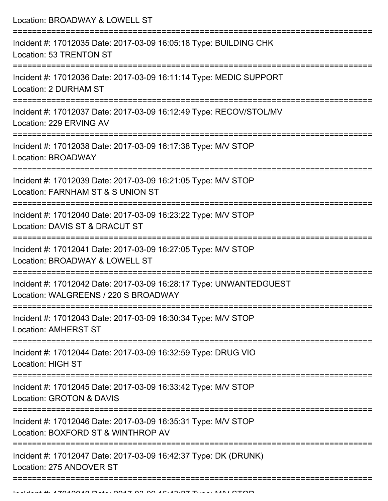| Location: BROADWAY & LOWELL ST                                                                                                    |
|-----------------------------------------------------------------------------------------------------------------------------------|
| Incident #: 17012035 Date: 2017-03-09 16:05:18 Type: BUILDING CHK<br>Location: 53 TRENTON ST                                      |
| Incident #: 17012036 Date: 2017-03-09 16:11:14 Type: MEDIC SUPPORT<br>Location: 2 DURHAM ST                                       |
| Incident #: 17012037 Date: 2017-03-09 16:12:49 Type: RECOV/STOL/MV<br>Location: 229 ERVING AV                                     |
| Incident #: 17012038 Date: 2017-03-09 16:17:38 Type: M/V STOP<br><b>Location: BROADWAY</b>                                        |
| Incident #: 17012039 Date: 2017-03-09 16:21:05 Type: M/V STOP<br>Location: FARNHAM ST & S UNION ST                                |
| Incident #: 17012040 Date: 2017-03-09 16:23:22 Type: M/V STOP<br>Location: DAVIS ST & DRACUT ST<br>;============================= |
| Incident #: 17012041 Date: 2017-03-09 16:27:05 Type: M/V STOP<br>Location: BROADWAY & LOWELL ST                                   |
| Incident #: 17012042 Date: 2017-03-09 16:28:17 Type: UNWANTEDGUEST<br>Location: WALGREENS / 220 S BROADWAY                        |
| Incident #: 17012043 Date: 2017-03-09 16:30:34 Type: M/V STOP<br><b>Location: AMHERST ST</b>                                      |
| Incident #: 17012044 Date: 2017-03-09 16:32:59 Type: DRUG VIO<br>Location: HIGH ST                                                |
| Incident #: 17012045 Date: 2017-03-09 16:33:42 Type: M/V STOP<br>Location: GROTON & DAVIS                                         |
| Incident #: 17012046 Date: 2017-03-09 16:35:31 Type: M/V STOP<br>Location: BOXFORD ST & WINTHROP AV                               |
| Incident #: 17012047 Date: 2017-03-09 16:42:37 Type: DK (DRUNK)<br>Location: 275 ANDOVER ST                                       |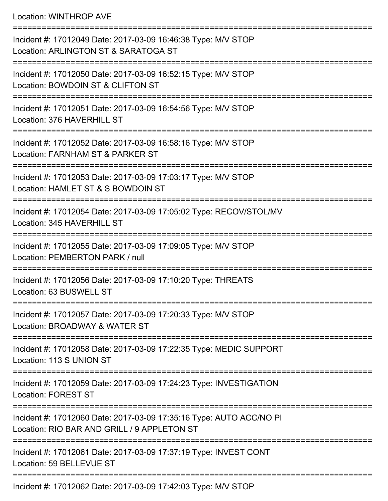## Location: WINTHROP AVE

| Incident #: 17012049 Date: 2017-03-09 16:46:38 Type: M/V STOP<br>Location: ARLINGTON ST & SARATOGA ST                                       |
|---------------------------------------------------------------------------------------------------------------------------------------------|
| Incident #: 17012050 Date: 2017-03-09 16:52:15 Type: M/V STOP<br>Location: BOWDOIN ST & CLIFTON ST<br>---------------------                 |
| Incident #: 17012051 Date: 2017-03-09 16:54:56 Type: M/V STOP<br>Location: 376 HAVERHILL ST                                                 |
| Incident #: 17012052 Date: 2017-03-09 16:58:16 Type: M/V STOP<br>Location: FARNHAM ST & PARKER ST                                           |
| Incident #: 17012053 Date: 2017-03-09 17:03:17 Type: M/V STOP<br>Location: HAMLET ST & S BOWDOIN ST                                         |
| Incident #: 17012054 Date: 2017-03-09 17:05:02 Type: RECOV/STOL/MV<br>Location: 345 HAVERHILL ST                                            |
| Incident #: 17012055 Date: 2017-03-09 17:09:05 Type: M/V STOP<br>Location: PEMBERTON PARK / null                                            |
| Incident #: 17012056 Date: 2017-03-09 17:10:20 Type: THREATS<br>Location: 63 BUSWELL ST                                                     |
| Incident #: 17012057 Date: 2017-03-09 17:20:33 Type: M/V STOP<br>Location: BROADWAY & WATER ST                                              |
| Incident #: 17012058 Date: 2017-03-09 17:22:35 Type: MEDIC SUPPORT<br>Location: 113 S UNION ST                                              |
| Incident #: 17012059 Date: 2017-03-09 17:24:23 Type: INVESTIGATION<br><b>Location: FOREST ST</b>                                            |
| ---------------------<br>Incident #: 17012060 Date: 2017-03-09 17:35:16 Type: AUTO ACC/NO PI<br>Location: RIO BAR AND GRILL / 9 APPLETON ST |
| Incident #: 17012061 Date: 2017-03-09 17:37:19 Type: INVEST CONT<br>Location: 59 BELLEVUE ST                                                |
|                                                                                                                                             |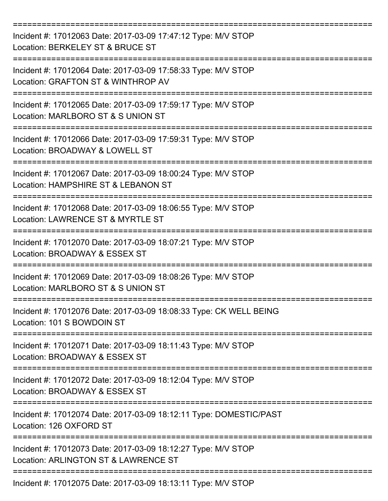| Incident #: 17012063 Date: 2017-03-09 17:47:12 Type: M/V STOP<br>Location: BERKELEY ST & BRUCE ST     |
|-------------------------------------------------------------------------------------------------------|
| Incident #: 17012064 Date: 2017-03-09 17:58:33 Type: M/V STOP<br>Location: GRAFTON ST & WINTHROP AV   |
| Incident #: 17012065 Date: 2017-03-09 17:59:17 Type: M/V STOP<br>Location: MARLBORO ST & S UNION ST   |
| Incident #: 17012066 Date: 2017-03-09 17:59:31 Type: M/V STOP<br>Location: BROADWAY & LOWELL ST       |
| Incident #: 17012067 Date: 2017-03-09 18:00:24 Type: M/V STOP<br>Location: HAMPSHIRE ST & LEBANON ST  |
| Incident #: 17012068 Date: 2017-03-09 18:06:55 Type: M/V STOP<br>Location: LAWRENCE ST & MYRTLE ST    |
| Incident #: 17012070 Date: 2017-03-09 18:07:21 Type: M/V STOP<br>Location: BROADWAY & ESSEX ST        |
| Incident #: 17012069 Date: 2017-03-09 18:08:26 Type: M/V STOP<br>Location: MARLBORO ST & S UNION ST   |
| Incident #: 17012076 Date: 2017-03-09 18:08:33 Type: CK WELL BEING<br>Location: 101 S BOWDOIN ST      |
| Incident #: 17012071 Date: 2017-03-09 18:11:43 Type: M/V STOP<br>Location: BROADWAY & ESSEX ST        |
| Incident #: 17012072 Date: 2017-03-09 18:12:04 Type: M/V STOP<br>Location: BROADWAY & ESSEX ST        |
| Incident #: 17012074 Date: 2017-03-09 18:12:11 Type: DOMESTIC/PAST<br>Location: 126 OXFORD ST         |
| Incident #: 17012073 Date: 2017-03-09 18:12:27 Type: M/V STOP<br>Location: ARLINGTON ST & LAWRENCE ST |
| Incident #: 17012075 Date: 2017-03-09 18:13:11 Type: M/V STOP                                         |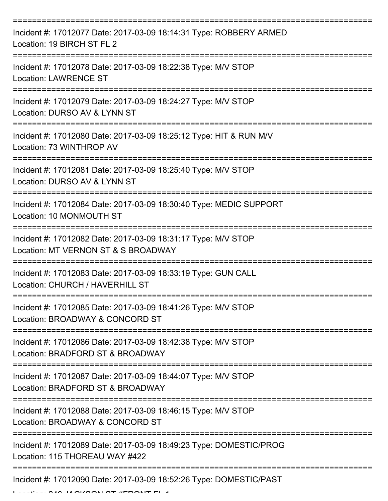| Incident #: 17012077 Date: 2017-03-09 18:14:31 Type: ROBBERY ARMED<br>Location: 19 BIRCH ST FL 2                                                                                                                                                                                                                                                                                                                                                                                                                                                                         |
|--------------------------------------------------------------------------------------------------------------------------------------------------------------------------------------------------------------------------------------------------------------------------------------------------------------------------------------------------------------------------------------------------------------------------------------------------------------------------------------------------------------------------------------------------------------------------|
| Incident #: 17012078 Date: 2017-03-09 18:22:38 Type: M/V STOP<br><b>Location: LAWRENCE ST</b>                                                                                                                                                                                                                                                                                                                                                                                                                                                                            |
| Incident #: 17012079 Date: 2017-03-09 18:24:27 Type: M/V STOP<br>Location: DURSO AV & LYNN ST                                                                                                                                                                                                                                                                                                                                                                                                                                                                            |
| Incident #: 17012080 Date: 2017-03-09 18:25:12 Type: HIT & RUN M/V<br>Location: 73 WINTHROP AV                                                                                                                                                                                                                                                                                                                                                                                                                                                                           |
| Incident #: 17012081 Date: 2017-03-09 18:25:40 Type: M/V STOP<br>Location: DURSO AV & LYNN ST                                                                                                                                                                                                                                                                                                                                                                                                                                                                            |
| Incident #: 17012084 Date: 2017-03-09 18:30:40 Type: MEDIC SUPPORT<br>Location: 10 MONMOUTH ST                                                                                                                                                                                                                                                                                                                                                                                                                                                                           |
| Incident #: 17012082 Date: 2017-03-09 18:31:17 Type: M/V STOP<br>Location: MT VERNON ST & S BROADWAY                                                                                                                                                                                                                                                                                                                                                                                                                                                                     |
| Incident #: 17012083 Date: 2017-03-09 18:33:19 Type: GUN CALL<br>Location: CHURCH / HAVERHILL ST                                                                                                                                                                                                                                                                                                                                                                                                                                                                         |
| Incident #: 17012085 Date: 2017-03-09 18:41:26 Type: M/V STOP<br>Location: BROADWAY & CONCORD ST                                                                                                                                                                                                                                                                                                                                                                                                                                                                         |
| Incident #: 17012086 Date: 2017-03-09 18:42:38 Type: M/V STOP<br>Location: BRADFORD ST & BROADWAY                                                                                                                                                                                                                                                                                                                                                                                                                                                                        |
| Incident #: 17012087 Date: 2017-03-09 18:44:07 Type: M/V STOP<br>Location: BRADFORD ST & BROADWAY                                                                                                                                                                                                                                                                                                                                                                                                                                                                        |
| Incident #: 17012088 Date: 2017-03-09 18:46:15 Type: M/V STOP<br>Location: BROADWAY & CONCORD ST                                                                                                                                                                                                                                                                                                                                                                                                                                                                         |
| Incident #: 17012089 Date: 2017-03-09 18:49:23 Type: DOMESTIC/PROG<br>Location: 115 THOREAU WAY #422                                                                                                                                                                                                                                                                                                                                                                                                                                                                     |
| Incident #: 17012090 Date: 2017-03-09 18:52:26 Type: DOMESTIC/PAST<br>$\begin{array}{c}\n 1 & \wedge \\  1 & \wedge \\  \hline\n 1 & \wedge \\  \hline\n 1 & \wedge \\  \hline\n 1 & \wedge \\  \hline\n 1 & \wedge \\  \hline\n 1 & \wedge \\  \hline\n 1 & \wedge \\  \hline\n 1 & \wedge \\  \hline\n 1 & \wedge \\  \hline\n 1 & \wedge \\  \hline\n 1 & \wedge \\  \hline\n 1 & \wedge \\  \hline\n 1 & \wedge \\  \hline\n 1 & \wedge \\  \hline\n 1 & \wedge \\  \hline\n 1 & \wedge \\  \hline\n 1 & \wedge \\  \hline\n 1 & \wedge \\  \hline\n 1 & \wedge \\ $ |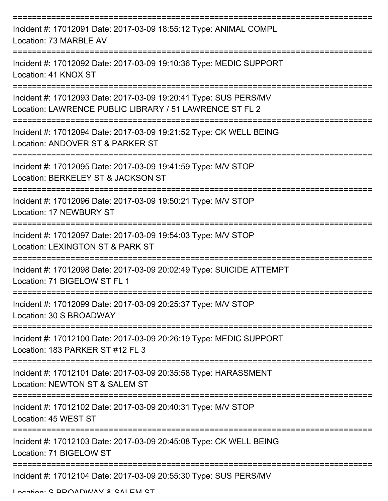| Incident #: 17012091 Date: 2017-03-09 18:55:12 Type: ANIMAL COMPL<br>Location: 73 MARBLE AV                                 |
|-----------------------------------------------------------------------------------------------------------------------------|
| Incident #: 17012092 Date: 2017-03-09 19:10:36 Type: MEDIC SUPPORT<br>Location: 41 KNOX ST                                  |
| Incident #: 17012093 Date: 2017-03-09 19:20:41 Type: SUS PERS/MV<br>Location: LAWRENCE PUBLIC LIBRARY / 51 LAWRENCE ST FL 2 |
| Incident #: 17012094 Date: 2017-03-09 19:21:52 Type: CK WELL BEING<br>Location: ANDOVER ST & PARKER ST                      |
| Incident #: 17012095 Date: 2017-03-09 19:41:59 Type: M/V STOP<br>Location: BERKELEY ST & JACKSON ST                         |
| Incident #: 17012096 Date: 2017-03-09 19:50:21 Type: M/V STOP<br><b>Location: 17 NEWBURY ST</b>                             |
| Incident #: 17012097 Date: 2017-03-09 19:54:03 Type: M/V STOP<br>Location: LEXINGTON ST & PARK ST                           |
| Incident #: 17012098 Date: 2017-03-09 20:02:49 Type: SUICIDE ATTEMPT<br>Location: 71 BIGELOW ST FL 1                        |
| Incident #: 17012099 Date: 2017-03-09 20:25:37 Type: M/V STOP<br>Location: 30 S BROADWAY                                    |
| Incident #: 17012100 Date: 2017-03-09 20:26:19 Type: MEDIC SUPPORT<br>Location: 183 PARKER ST #12 FL 3                      |
| Incident #: 17012101 Date: 2017-03-09 20:35:58 Type: HARASSMENT<br>Location: NEWTON ST & SALEM ST                           |
| Incident #: 17012102 Date: 2017-03-09 20:40:31 Type: M/V STOP<br>Location: 45 WEST ST                                       |
| Incident #: 17012103 Date: 2017-03-09 20:45:08 Type: CK WELL BEING<br>Location: 71 BIGELOW ST                               |
| Incident #: 17012104 Date: 2017-03-09 20:55:30 Type: SUS PERS/MV                                                            |

Location: S BROADWAY & SALEM ST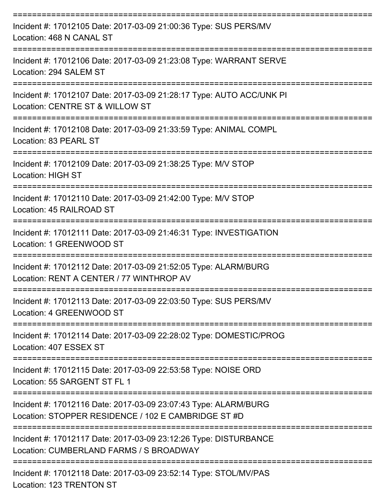| Incident #: 17012105 Date: 2017-03-09 21:00:36 Type: SUS PERS/MV<br>Location: 468 N CANAL ST                           |
|------------------------------------------------------------------------------------------------------------------------|
| Incident #: 17012106 Date: 2017-03-09 21:23:08 Type: WARRANT SERVE<br>Location: 294 SALEM ST                           |
| Incident #: 17012107 Date: 2017-03-09 21:28:17 Type: AUTO ACC/UNK PI<br>Location: CENTRE ST & WILLOW ST                |
| Incident #: 17012108 Date: 2017-03-09 21:33:59 Type: ANIMAL COMPL<br>Location: 83 PEARL ST                             |
| Incident #: 17012109 Date: 2017-03-09 21:38:25 Type: M/V STOP<br><b>Location: HIGH ST</b>                              |
| Incident #: 17012110 Date: 2017-03-09 21:42:00 Type: M/V STOP<br>Location: 45 RAILROAD ST<br>-------------             |
| Incident #: 17012111 Date: 2017-03-09 21:46:31 Type: INVESTIGATION<br>Location: 1 GREENWOOD ST                         |
| Incident #: 17012112 Date: 2017-03-09 21:52:05 Type: ALARM/BURG<br>Location: RENT A CENTER / 77 WINTHROP AV            |
| Incident #: 17012113 Date: 2017-03-09 22:03:50 Type: SUS PERS/MV<br>Location: 4 GREENWOOD ST                           |
| Incident #: 17012114 Date: 2017-03-09 22:28:02 Type: DOMESTIC/PROG<br>Location: 407 ESSEX ST                           |
| Incident #: 17012115 Date: 2017-03-09 22:53:58 Type: NOISE ORD<br>Location: 55 SARGENT ST FL 1                         |
| Incident #: 17012116 Date: 2017-03-09 23:07:43 Type: ALARM/BURG<br>Location: STOPPER RESIDENCE / 102 E CAMBRIDGE ST #D |
| Incident #: 17012117 Date: 2017-03-09 23:12:26 Type: DISTURBANCE<br>Location: CUMBERLAND FARMS / S BROADWAY            |
| Incident #: 17012118 Date: 2017-03-09 23:52:14 Type: STOL/MV/PAS                                                       |

Location: 123 TRENTON ST